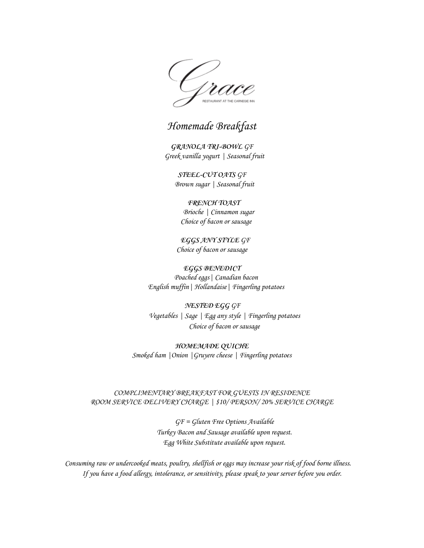Grac

### Homemade Breakfast

**GRANOLA TRI-BOWL** GF Greek vanilla yogurt | Seasonal fruit

**STEEL-CUT OATS** GF Brown sugar | Seasonal fruit

**FRENCH TOAST** Brioche | Cinnamon sugar Choice of bacon or sausage

**EGGS ANY STYLE** GF Choice of bacon or sausage

**EGGS BENEDICT** Poached eggs| Canadian bacon English muffin| Hollandaise| Fingerling potatoes

**NESTED EGG** GF Vegetables | Sage | Egg any style | Fingerling potatoes Choice of bacon or sausage

**HOMEMADE QUICHE** Smoked ham |Onion |Gruyere cheese | Fingerling potatoes

#### COMPLIMENTARY BREAKFAST FOR GUESTS IN RESIDENCE ROOM SERVICE DELIVERY CHARGE | \$10/ PERSON/ 20% SERVICE CHARGE

GF = Gluten Free Options Available Turkey Bacon and Sausage available upon request. Egg White Substitute available upon request.

Consuming raw or undercooked meats, poultry, shellfish or eggs may increase your risk of food borne illness. If you have a food allergy, intolerance, or sensitivity, please speak to your server before you order.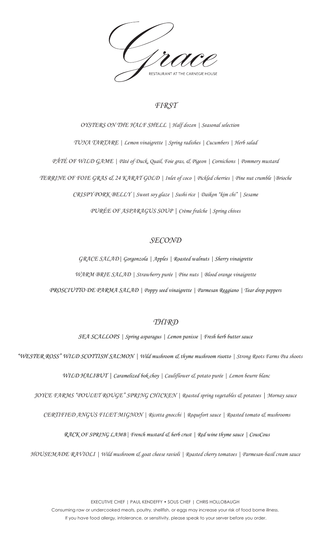

### *FIRST*

*OYSTERS ON THE HALF SHELL | Half dozen | Seasonal selection TUNA TARTARE | Lemon vinaigrette | Spring radishes | Cucumbers | Herb salad PÂTÉ OF WILD GAME | Pâté of Duck, Quail, Foie gras, & Pigeon | Cornichons | Pommery mustard TERRINE OF FOIE GRAS & 24 KARAT GOLD | Inlet of coco | Pickled cherries | Pine nut crumble |Brioche CRISPY PORK BELLY | Sweet soy glaze | Sushi rice | Daikon "kim chi" | Sesame PURÉE OF ASPARAGUS SOUP | Crème fraîche | Spring chives*

### *SECOND*

*GRACE SALAD| Gorgonzola | Apples | Roasted walnuts | Sherry vinaigrette* 

*WARM BRIE SALAD | Strawberry purée | Pine nuts | Blood orange vinaigrette* 

*PROSCIUTTO DE PARMA SALAD | Poppy seed vinaigrette | Parmesan Reggiano | Tear drop peppers* 

#### *THIRD*

*SEA SCALLOPS | Spring asparagus | Lemon panisse | Fresh herb butter sauce* 

*"WESTER ROSS" WILD SCOTTISH SALMON | Wild mushroom & thyme mushroom risotto | Strong Roots Farms Pea shoots* 

*WILD HALIBUT | Caramelized bok choy | Cauliflower & potato purée | Lemon beurre blanc* 

*JOYCE FARMS "POULET ROUGE" SPRING CHICKEN | Roasted spring vegetables & potatoes | Mornay sauce* 

*CERTIFIED ANGUS FILET MIGNON | Ricotta gnocchi | Roquefort sauce | Roasted tomato & mushrooms* 

*RACK OF SPRING LAMB| French mustard & herb crust | Red wine thyme sauce | CousCous* 

*HOUSEMADE RAVIOLI | Wild mushroom & goat cheese ravioli | Roasted cherry tomatoes | Parmesan-basil cream sauce*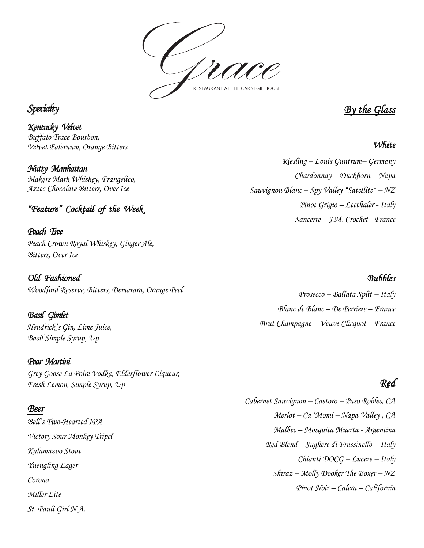

### *Specialt*

*Kentucky Velvet Buffalo Trace Bourbon, Velvet Falernum, Orange Bitters* 

*Nutty Manhattan*

*Makers Mark Whiskey, Frangelico, Aztec Chocolate Bitters, Over Ice* 

### *"Feature" Cocktail of the Week*

*Peach Tree Peach Crown Royal Whiskey, Ginger Ale, Bitters, Over Ice* 

*Old Fashioned Woodford Reserve, Bitters, Demarara, Orange Peel* 

*Basil Gimlet Hendrick's Gin, Lime Juice, Basil Simple Syrup, Up*

#### *Pear Martini*

*Grey Goose La Poire Vodka, Elderflower Liqueur, Fresh Lemon, Simple Syrup, Up*

#### *Beer*

*Bell's Two-Hearted IPA Victory Sour Monkey Tripel Kalamazoo Stout Yuengling Lager Corona Miller Lite St. Pauli Girl N.A.* 

*By the Glass* 

*White* 

*Riesling – Louis Guntrum– Germany Chardonnay – Duckhorn – Napa Sauvignon Blanc – Spy Valley "Satellite" – NZ Pinot Grigio – Lecthaler - Italy Sancerre – J.M. Crochet - France* 

#### *Bubbles*

*Prosecco – Ballata Split – Italy Blanc de Blanc – De Perriere – France Brut Champagne -- Veuve Clicquot – France* 

## *Red*

*Cabernet Sauvignon – Castoro – Paso Robles, CA Merlot – Ca 'Momi – Napa Valley , CA Malbec – Mosquita Muerta - Argentina Red Blend – Sughere di Frassinello – Italy Chianti DOCG – Lucere – Italy Shiraz – Molly Dooker The Boxer – NZ Pinot Noir – Calera – California*